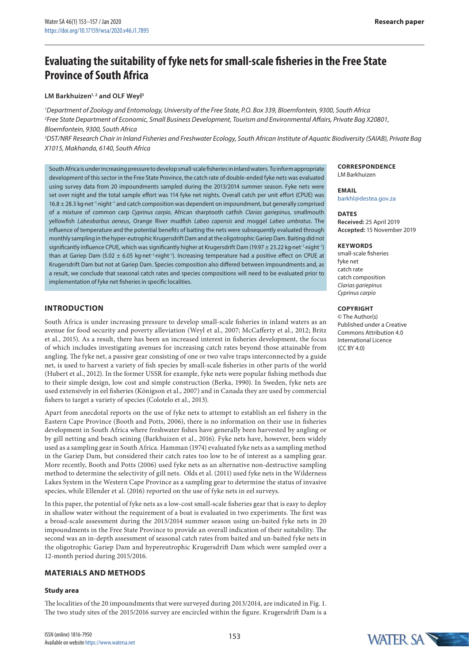# **Evaluating the suitability of fyke nets for small-scale fisheries in the Free State Province of South Africa**

### LM Barkhuizen<sup>1, 2</sup> and OLF Weyl<sup>3</sup>

*1 Department of Zoology and Entomology, University of the Free State, P.O. Box 339, Bloemfontein, 9300, South Africa 2 Free State Department of Economic, Small Business Development, Tourism and Environmental Affairs, Private Bag X20801, Bloemfontein, 9300, South Africa*

*3 DST/NRF Research Chair in Inland Fisheries and Freshwater Ecology, South African Institute of Aquatic Biodiversity (SAIAB), Private Bag X1015, Makhanda, 6140, South Africa*

South Africa is under increasing pressure to develop small-scale fisheries in inland waters. To inform appropriate development of this sector in the Free State Province, the catch rate of double-ended fyke nets was evaluated using survey data from 20 impoundments sampled during the 2013/2014 summer season. Fyke nets were set over night and the total sample effort was 114 fyke net nights. Overall catch per unit effort (CPUE) was 16.8 ± 28.3 kg·net−1·night−1 and catch composition was dependent on impoundment, but generally comprised of a mixture of common carp *Cyprinus carpio*, African sharptooth catfish *Clarias gariepinus,* smallmouth yellowfish *Labeobarbus aeneus*, Orange River mudfish *Labeo capensis* and moggel *Labeo umbratus*. The influence of temperature and the potential benefits of baiting the nets were subsequently evaluated through monthly sampling in the hyper-eutrophic Krugersdrift Dam and at the oligotrophic Gariep Dam. Baiting did not significantly influence CPUE, which was significantly higher at Krugersdrift Dam (19.97 ± 23.22 kg·net<sup>-1</sup>·night<sup>-1</sup>) than at Gariep Dam (5.02 ± 6.05 kg·net−1·night−1). Increasing temperature had a positive effect on CPUE at Krugersdrift Dam but not at Gariep Dam. Species composition also differed between impoundments and, as a result, we conclude that seasonal catch rates and species compositions will need to be evaluated prior to implementation of fyke net fisheries in specific localities.

# **INTRODUCTION**

South Africa is under increasing pressure to develop small-scale fisheries in inland waters as an avenue for food security and poverty alleviation (Weyl et al., 2007; McCafferty et al., 2012; Britz et al., 2015). As a result, there has been an increased interest in fisheries development, the focus of which includes investigating avenues for increasing catch rates beyond those attainable from angling. The fyke net, a passive gear consisting of one or two valve traps interconnected by a guide net, is used to harvest a variety of fish species by small-scale fisheries in other parts of the world (Hubert et al., 2012). In the former USSR for example, fyke nets were popular fishing methods due to their simple design, low cost and simple construction (Berka, 1990). In Sweden, fyke nets are used extensively in eel fisheries (Königson et al., 2007) and in Canada they are used by commercial fishers to target a variety of species (Colotelo et al., 2013).

Apart from anecdotal reports on the use of fyke nets to attempt to establish an eel fishery in the Eastern Cape Province (Booth and Potts, 2006), there is no information on their use in fisheries development in South Africa where freshwater fishes have generally been harvested by angling or by gill netting and beach seining (Barkhuizen et al., 2016). Fyke nets have, however, been widely used as a sampling gear in South Africa. Hamman (1974) evaluated fyke nets as a sampling method in the Gariep Dam, but considered their catch rates too low to be of interest as a sampling gear. More recently, Booth and Potts (2006) used fyke nets as an alternative non-destructive sampling method to determine the selectivity of gill nets. Olds et al. (2011) used fyke nets in the Wilderness Lakes System in the Western Cape Province as a sampling gear to determine the status of invasive species, while Ellender et al. (2016) reported on the use of fyke nets in eel surveys.

In this paper, the potential of fyke nets as a low-cost small-scale fisheries gear that is easy to deploy in shallow water without the requirement of a boat is evaluated in two experiments. The first was a broad-scale assessment during the 2013/2014 summer season using un-baited fyke nets in 20 impoundments in the Free State Province to provide an overall indication of their suitability. The second was an in-depth assessment of seasonal catch rates from baited and un-baited fyke nets in the oligotrophic Gariep Dam and hypereutrophic Krugersdrift Dam which were sampled over a 12-month period during 2015/2016.

# **MATERIALS AND METHODS**

#### **Study area**

The localities of the 20 impoundments that were surveyed during 2013/2014, are indicated in Fig. 1. The two study sites of the 2015/2016 survey are encircled within the figure. Krugersdrift Dam is a

**CORRESPONDENCE** LM Barkhuizen

#### **EMAIL** [barkhl@destea.gov.za](mailto:barkhl@destea.gov.za)

**DATES Received:** 25 April 2019 **Accepted:** 15 November 2019

#### **KEYWORDS**

small-scale fisheries fyke net catch rate catch composition *Clarias gariepinus Cyprinus carpio*

# **Copyright**

© The Author(s) Published under a Creative Commons Attribution 4.0 International Licence (CC BY 4.0)

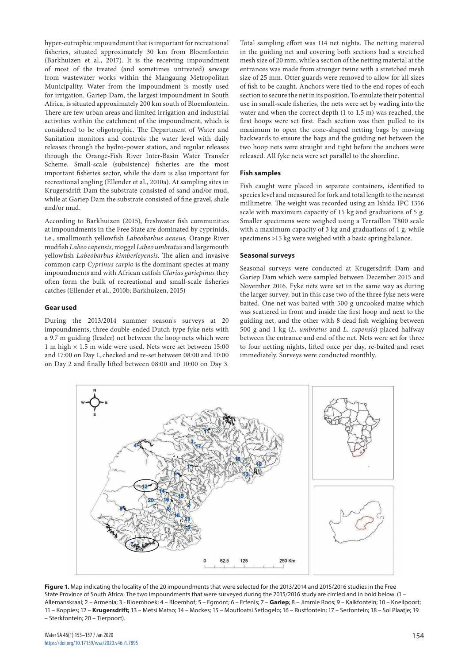hyper-eutrophic impoundment that is important for recreational fisheries, situated approximately 30 km from Bloemfontein (Barkhuizen et al., 2017). It is the receiving impoundment of most of the treated (and sometimes untreated) sewage from wastewater works within the Mangaung Metropolitan Municipality. Water from the impoundment is mostly used for irrigation. Gariep Dam, the largest impoundment in South Africa, is situated approximately 200 km south of Bloemfontein. There are few urban areas and limited irrigation and industrial activities within the catchment of the impoundment, which is considered to be oligotrophic. The Department of Water and Sanitation monitors and controls the water level with daily releases through the hydro-power station, and regular releases through the Orange-Fish River Inter-Basin Water Transfer Scheme. Small-scale (subsistence) fisheries are the most important fisheries sector, while the dam is also important for recreational angling (Ellender et al., 2010a). At sampling sites in Krugersdrift Dam the substrate consisted of sand and/or mud, while at Gariep Dam the substrate consisted of fine gravel, shale and/or mud.

According to Barkhuizen (2015), freshwater fish communities at impoundments in the Free State are dominated by cyprinids, i.e., smallmouth yellowfish *Labeobarbus aeneus,* Orange River mudfish *Labeo capensis,* moggel *Labeo umbratus* and largemouth yellowfish *Labeobarbus kimberleyensis.* The alien and invasive common carp *Cyprinus carpio* is the dominant species at many impoundments and with African catfish *Clarias gariepinus* they often form the bulk of recreational and small-scale fisheries catches (Ellender et al., 2010b; Barkhuizen, 2015)

#### **Gear used**

During the 2013/2014 summer season's surveys at 20 impoundments, three double-ended Dutch-type fyke nets with a 9.7 m guiding (leader) net between the hoop nets which were 1 m high × 1.5 m wide were used. Nets were set between 15:00 and 17:00 on Day 1, checked and re-set between 08:00 and 10:00 on Day 2 and finally lifted between 08:00 and 10:00 on Day 3.

Total sampling effort was 114 net nights. The netting material in the guiding net and covering both sections had a stretched mesh size of 20 mm, while a section of the netting material at the entrances was made from stronger twine with a stretched mesh size of 25 mm. Otter guards were removed to allow for all sizes of fish to be caught. Anchors were tied to the end ropes of each section to secure the net in its position. To emulate their potential use in small-scale fisheries, the nets were set by wading into the water and when the correct depth (1 to 1.5 m) was reached, the first hoops were set first. Each section was then pulled to its maximum to open the cone-shaped netting bags by moving backwards to ensure the bags and the guiding net between the two hoop nets were straight and tight before the anchors were released. All fyke nets were set parallel to the shoreline.

# **Fish samples**

Fish caught were placed in separate containers, identified to species level and measured for fork and total length to the nearest millimetre. The weight was recorded using an Ishida IPC 1356 scale with maximum capacity of 15 kg and graduations of 5 g. Smaller specimens were weighed using a Terraillon T800 scale with a maximum capacity of 3 kg and graduations of 1 g, while specimens >15 kg were weighed with a basic spring balance.

#### **Seasonal surveys**

Seasonal surveys were conducted at Krugersdrift Dam and Gariep Dam which were sampled between December 2015 and November 2016. Fyke nets were set in the same way as during the larger survey, but in this case two of the three fyke nets were baited. One net was baited with 500 g uncooked maize which was scattered in front and inside the first hoop and next to the guiding net, and the other with 8 dead fish weighing between 500 g and 1 kg (*L. umbratus* and *L. capensis*) placed halfway between the entrance and end of the net. Nets were set for three to four netting nights, lifted once per day, re-baited and reset immediately. Surveys were conducted monthly.



**Figure 1.** Map indicating the locality of the 20 impoundments that were selected for the 2013/2014 and 2015/2016 studies in the Free State Province of South Africa. The two impoundments that were surveyed during the 2015/2016 study are circled and in bold below. (1 – Allemanskraal; 2 – Armenia; 3 - Bloemhoek; 4 – Bloemhof; 5 – Egmont; 6 – Erfenis; 7 – **Gariep**; 8 – Jimmie Roos; 9 – Kalkfontein; 10 – Knellpoort; 11 – Koppies; 12 – **Krugersdrift;** 13 – Metsi Matso; 14 – Mockes; 15 – Moutloatsi Setlogelo; 16 – Rustfontein; 17 – Serfontein; 18 – Sol Plaatje; 19 – Sterkfontein; 20 – Tierpoort).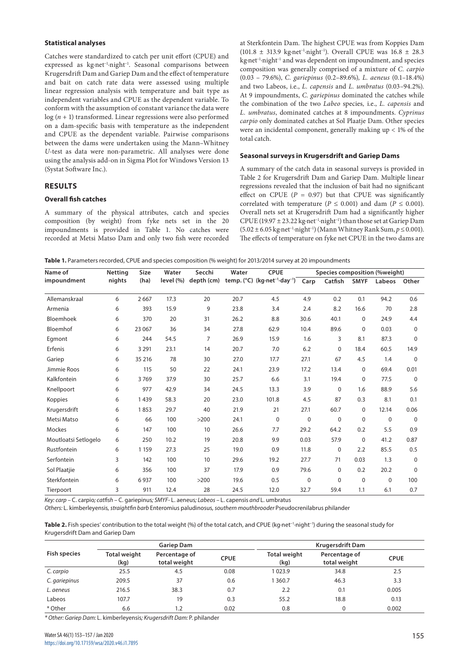#### **Statistical analyses**

Catches were standardized to catch per unit effort (CPUE) and expressed as kg·net<sup>-1</sup>·night<sup>-1</sup>. Seasonal comparisons between Krugersdrift Dam and Gariep Dam and the effect of temperature and bait on catch rate data were assessed using multiple linear regression analysis with temperature and bait type as independent variables and CPUE as the dependent variable. To conform with the assumption of constant variance the data were log (*n* + 1) transformed. Linear regressions were also performed on a dam-specific basis with temperature as the independent and CPUE as the dependent variable. Pairwise comparisons between the dams were undertaken using the Mann–Whitney *U*-test as data were non-parametric. All analyses were done using the analysis add-on in Sigma Plot for Windows Version 13 (Systat Software Inc.).

# **RESULTS**

#### **Overall fish catches**

A summary of the physical attributes, catch and species composition (by weight) from fyke nets set in the 20 impoundments is provided in Table 1. No catches were recorded at Metsi Matso Dam and only two fish were recorded at Sterkfontein Dam. The highest CPUE was from Koppies Dam (101.8 ± 313.9 kg·net−1·night−1). Overall CPUE was 16.8 ± 28.3 kg·net−1·night−1 and was dependent on impoundment, and species composition was generally comprised of a mixture of *C. carpio*  (0.03 – 79.6%), *C. gariepinus* (0.2–89.6%)*, L. aeneus* (0.1–18.4%) and two Labeos, i.e., *L. capensis* and *L. umbratus* (0.03–94.2%). At 9 impoundments, *C. gariepinus* dominated the catches while the combination of the two *Labeo* species*,* i.e., *L. capensis* and *L. umbratus*, dominated catches at 8 impoundments. *Cyprinus carpio* only dominated catches at Sol Plaatje Dam. Other species were an incidental component, generally making up < 1% of the total catch.

#### **Seasonal surveys in Krugersdrift and Gariep Dams**

A summary of the catch data in seasonal surveys is provided in Table 2 for Krugersdrift Dam and Gariep Dam. Multiple linear regressions revealed that the inclusion of bait had no significant effect on CPUE  $(P = 0.97)$  but that CPUE was significantly correlated with temperature ( $P \le 0.001$ ) and dam ( $P \le 0.001$ ). Overall nets set at Krugersdrift Dam had a significantly higher CPUE (19.97 ± 23.22 kg·net−1·night−1) than those set at Gariep Dam (5.02 ± 6.05 kg·net−1·night−1) (Mann Whitney Rank Sum, *p* ≤ 0.001). The effects of temperature on fyke net CPUE in the two dams are

Table 1. Parameters recorded, CPUE and species composition (% weight) for 2013/2014 survey at 20 impoundments

| Name of              | <b>Netting</b> | <b>Size</b> | Water     | Secchi         | Water | <b>CPUE</b>                                                                   | Species composition (%weight) |             |             |             |          |
|----------------------|----------------|-------------|-----------|----------------|-------|-------------------------------------------------------------------------------|-------------------------------|-------------|-------------|-------------|----------|
| impoundment          | nights         | (ha)        | level (%) | depth (cm)     |       | temp. $(^{\circ}C)$ (kg $\cdot$ net <sup>-1</sup> $\cdot$ day <sup>-1</sup> ) | Carp                          | Catfish     | <b>SMYF</b> | Labeos      | Other    |
| Allemanskraal        | 6              | 2667        | 17.3      | 20             | 20.7  | 4.5                                                                           | 4.9                           | 0.2         | 0.1         | 94.2        | 0.6      |
| Armenia              | 6              | 393         | 15.9      | 9              | 23.8  | 3.4                                                                           | 2.4                           | 8.2         | 16.6        | 70          | 2.8      |
| Bloemhoek            | 6              | 370         | 20        | 31             | 26.2  | 8.8                                                                           | 30.6                          | 40.1        | 0           | 24.9        | 4.4      |
| Bloemhof             | 6              | 23 067      | 36        | 34             | 27.8  | 62.9                                                                          | 10.4                          | 89.6        | 0           | 0.03        | 0        |
| Egmont               | 6              | 244         | 54.5      | $\overline{7}$ | 26.9  | 15.9                                                                          | 1.6                           | 3           | 8.1         | 87.3        | 0        |
| Erfenis              | 6              | 3 2 9 1     | 23.1      | 14             | 20.7  | 7.0                                                                           | 6.2                           | $\Omega$    | 18.4        | 60.5        | 14.9     |
| Gariep               | 6              | 35 216      | 78        | 30             | 27.0  | 17.7                                                                          | 27.1                          | 67          | 4.5         | 1.4         | $\Omega$ |
| Jimmie Roos          | 6              | 115         | 50        | 22             | 24.1  | 23.9                                                                          | 17.2                          | 13.4        | 0           | 69.4        | 0.01     |
| Kalkfontein          | 6              | 3769        | 37.9      | 30             | 25.7  | 6.6                                                                           | 3.1                           | 19.4        | 0           | 77.5        | $\Omega$ |
| Knellpoort           | 6              | 977         | 42.9      | 34             | 24.5  | 13.3                                                                          | 3.9                           | $\mathbf 0$ | 1.6         | 88.9        | 5.6      |
| Koppies              | 6              | 1439        | 58.3      | 20             | 23.0  | 101.8                                                                         | 4.5                           | 87          | 0.3         | 8.1         | 0.1      |
| Krugersdrift         | 6              | 1853        | 29.7      | 40             | 21.9  | 21                                                                            | 27.1                          | 60.7        | 0           | 12.14       | 0.06     |
| Metsi Matso          | 6              | 66          | 100       | >200           | 24.1  | $\mathbf 0$                                                                   | $\mathbf 0$                   | $\mathbf 0$ | $\mathbf 0$ | $\mathbf 0$ | $\Omega$ |
| <b>Mockes</b>        | 6              | 147         | 100       | 10             | 26.6  | 7.7                                                                           | 29.2                          | 64.2        | 0.2         | 5.5         | 0.9      |
| Moutloatsi Setlogelo | 6              | 250         | 10.2      | 19             | 20.8  | 9.9                                                                           | 0.03                          | 57.9        | $\mathbf 0$ | 41.2        | 0.87     |
| Rustfontein          | 6              | 1 1 5 9     | 27.3      | 25             | 19.0  | 0.9                                                                           | 11.8                          | $\Omega$    | 2.2         | 85.5        | 0.5      |
| Serfontein           | 3              | 142         | 100       | 10             | 29.6  | 19.2                                                                          | 27.7                          | 71          | 0.03        | 1.3         | $\Omega$ |
| Sol Plaatjie         | 6              | 356         | 100       | 37             | 17.9  | 0.9                                                                           | 79.6                          | 0           | 0.2         | 20.2        | $\Omega$ |
| Sterkfontein         | 6              | 6937        | 100       | >200           | 19.6  | 0.5                                                                           | 0                             | 0           | $\mathbf 0$ | $\mathbf 0$ | 100      |
| Tierpoort            | 3              | 911         | 12.4      | 28             | 24.5  | 12.0                                                                          | 32.7                          | 59.4        | 1.1         | 6.1         | 0.7      |

*Key: carp –* C. carpio*; catfish –* C. gariepinus*; SMYF-* L. aeneus*; Labeos –* L. capensis *and* L. umbratus

*Others:* L. kimberleyensis*, straightfin barb* Enteromius paludinosus*, southern mouthbrooder* Pseudocrenilabrus philander

Table 2. Fish species' contribution to the total weight (%) of the total catch, and CPUE (kg⋅net<sup>-1</sup>⋅night<sup>-1</sup>) during the seasonal study for Krugersdrift Dam and Gariep Dam

|                     |                      | <b>Gariep Dam</b>             |             | Krugersdrift Dam            |                               |             |  |
|---------------------|----------------------|-------------------------------|-------------|-----------------------------|-------------------------------|-------------|--|
| <b>Fish species</b> | Total weight<br>(kg) | Percentage of<br>total weight | <b>CPUE</b> | <b>Total weight</b><br>(kg) | Percentage of<br>total weight | <b>CPUE</b> |  |
| C. carpio           | 25.5                 | 4.5                           | 0.08        | 1023.9                      | 34.8                          | 2.5         |  |
| C. gariepinus       | 209.5                | 37                            | 0.6         | 360.7                       | 46.3                          | 3.3         |  |
| L. aeneus           | 216.5                | 38.3                          | 0.7         | 2.2                         | 0.1                           | 0.005       |  |
| Labeos              | 107.7                | 19                            | 0.3         | 55.2                        | 18.8                          | 0.13        |  |
| * Other             | 6.6                  | 1.2                           | 0.02        | 0.8                         |                               | 0.002       |  |

*\* Other: Gariep Dam:* L. kimberleyensis*; Krugersdrift Dam:* P. philander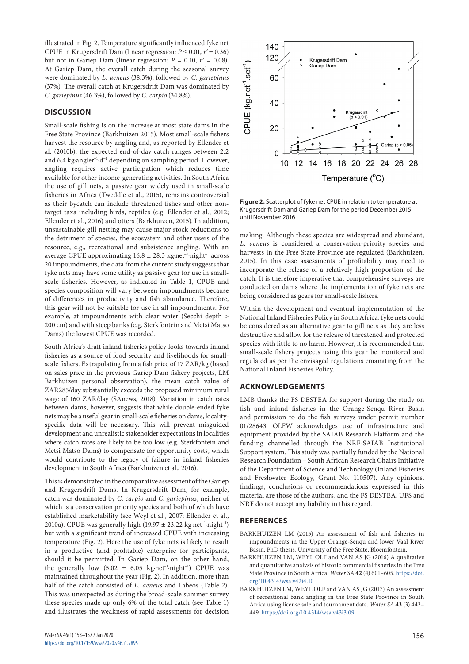illustrated in Fig. 2. Temperature significantly influenced fyke net CPUE in Krugersdrift Dam (linear regression:  $P \le 0.01$ ,  $r^2 = 0.36$ ) but not in Gariep Dam (linear regression:  $P = 0.10$ ,  $r^2 = 0.08$ ). At Gariep Dam, the overall catch during the seasonal survey were dominated by *L. aeneus* (38.3%), followed by *C. gariepinus*  (37%)*.* The overall catch at Krugersdrift Dam was dominated by *C. gariepinus* (46.3%), followed by *C. carpio* (34.8%).

# **DISCUSSION**

Small-scale fishing is on the increase at most state dams in the Free State Province (Barkhuizen 2015). Most small-scale fishers harvest the resource by angling and, as reported by Ellender et al. (2010b), the expected end-of-day catch ranges between 2.2 and 6.4 kg∙angler−1∙d−1 depending on sampling period. However, angling requires active participation which reduces time available for other income-generating activities. In South Africa the use of gill nets, a passive gear widely used in small-scale fisheries in Africa (Tweddle et al., 2015), remains controversial as their bycatch can include threatened fishes and other nontarget taxa including birds, reptiles (e.g. Ellender et al., 2012; Ellender et al., 2016) and otters (Barkhuizen, 2015). In addition, unsustainable gill netting may cause major stock reductions to the detriment of species, the ecosystem and other users of the resource, e.g., recreational and subsistence angling. With an average CPUE approximating 16.8 ± 28.3 kg·net−1·night−1 across 20 impoundments, the data from the current study suggests that fyke nets may have some utility as passive gear for use in smallscale fisheries. However, as indicated in Table 1, CPUE and species composition will vary between impoundments because of differences in productivity and fish abundance. Therefore, this gear will not be suitable for use in all impoundments. For example, at impoundments with clear water (Secchi depth > 200 cm) and with steep banks (e.g. Sterkfontein and Metsi Matso Dams) the lowest CPUE was recorded.

South Africa's draft inland fisheries policy looks towards inland fisheries as a source of food security and livelihoods for smallscale fishers. Extrapolating from a fish price of 17 ZAR/kg (based on sales price in the previous Gariep Dam fishery projects, LM Barkhuizen personal observation), the mean catch value of ZAR285/day substantially exceeds the proposed minimum rural wage of 160 ZAR/day (SAnews, 2018). Variation in catch rates between dams, however, suggests that while double-ended fyke nets may be a useful gear in small-scale fisheries on dams, localityspecific data will be necessary. This will prevent misguided development and unrealistic stakeholder expectations in localities where catch rates are likely to be too low (e.g. Sterkfontein and Metsi Matso Dams) to compensate for opportunity costs, which would contribute to the legacy of failure in inland fisheries development in South Africa (Barkhuizen et al., 2016).

This is demonstrated in the comparative assessment of the Gariep and Krugersdrift Dams. In Krugersdrift Dam, for example, catch was dominated by *C. carpio* and *C. gariepinus*, neither of which is a conservation priority species and both of which have established marketability (see Weyl et al., 2007; Ellender et al., 2010a). CPUE was generally high (19.97  $\pm$  23.22 kg·net<sup>-1</sup>·night<sup>-1</sup>) but with a significant trend of increased CPUE with increasing temperature (Fig. 2). Here the use of fyke nets is likely to result in a productive (and profitable) enterprise for participants, should it be permitted. In Gariep Dam, on the other hand, the generally low  $(5.02 \pm 6.05 \text{ kg.net}^{-1} \cdot \text{night}^{-1})$  CPUE was maintained throughout the year (Fig. 2). In addition, more than half of the catch consisted of *L. aeneus* and Labeos (Table 2). This was unexpected as during the broad-scale summer survey these species made up only 6% of the total catch (see Table 1) and illustrates the weakness of rapid assessments for decision



**Figure 2.** Scatterplot of fyke net CPUE in relation to temperature at Krugersdrift Dam and Gariep Dam for the period December 2015 until November 2016

making. Although these species are widespread and abundant, *L. aeneus* is considered a conservation-priority species and harvests in the Free State Province are regulated (Barkhuizen, 2015). In this case assessments of profitability may need to incorporate the release of a relatively high proportion of the catch. It is therefore imperative that comprehensive surveys are conducted on dams where the implementation of fyke nets are being considered as gears for small-scale fishers.

Within the development and eventual implementation of the National Inland Fisheries Policy in South Africa, fyke nets could be considered as an alternative gear to gill nets as they are less destructive and allow for the release of threatened and protected species with little to no harm. However, it is recommended that small-scale fishery projects using this gear be monitored and regulated as per the envisaged regulations emanating from the National Inland Fisheries Policy.

# **ACKNOWLEDGEMENTS**

LMB thanks the FS DESTEA for support during the study on fish and inland fisheries in the Orange-Senqu River Basin and permission to do the fish surveys under permit number 01/28643. OLFW acknowledges use of infrastructure and equipment provided by the SAIAB Research Platform and the funding channelled through the NRF-SAIAB Institutional Support system. This study was partially funded by the National Research Foundation – South African Research Chairs Initiative of the Department of Science and Technology (Inland Fisheries and Freshwater Ecology, Grant No. 110507). Any opinions, findings, conclusions or recommendations expressed in this material are those of the authors, and the FS DESTEA, UFS and NRF do not accept any liability in this regard.

### **REFERENCES**

- BARKHUIZEN LM (2015) An assessment of fish and fisheries in impoundments in the Upper Orange-Senqu and lower Vaal River Basin. PhD thesis, University of the Free State, Bloemfontein.
- BARKHUIZEN LM, WEYL OLF and VAN AS JG (2016) A qualitative and quantitative analysis of historic commercial fisheries in the Free State Province in South Africa. *Water SA* **42** (4) 601–605. [https://doi.](https://doi.org/10.4314/wsa.v42i4.10) [org/10.4314/wsa.v42i4.10](https://doi.org/10.4314/wsa.v42i4.10)
- BARKHUIZEN LM, WEYL OLF and VAN AS JG (2017) An assessment of recreational bank angling in the Free State Province in South Africa using license sale and tournament data. *Water SA* **43** (3) 442– 449.<https://doi.org/10.4314/wsa.v43i3.09>